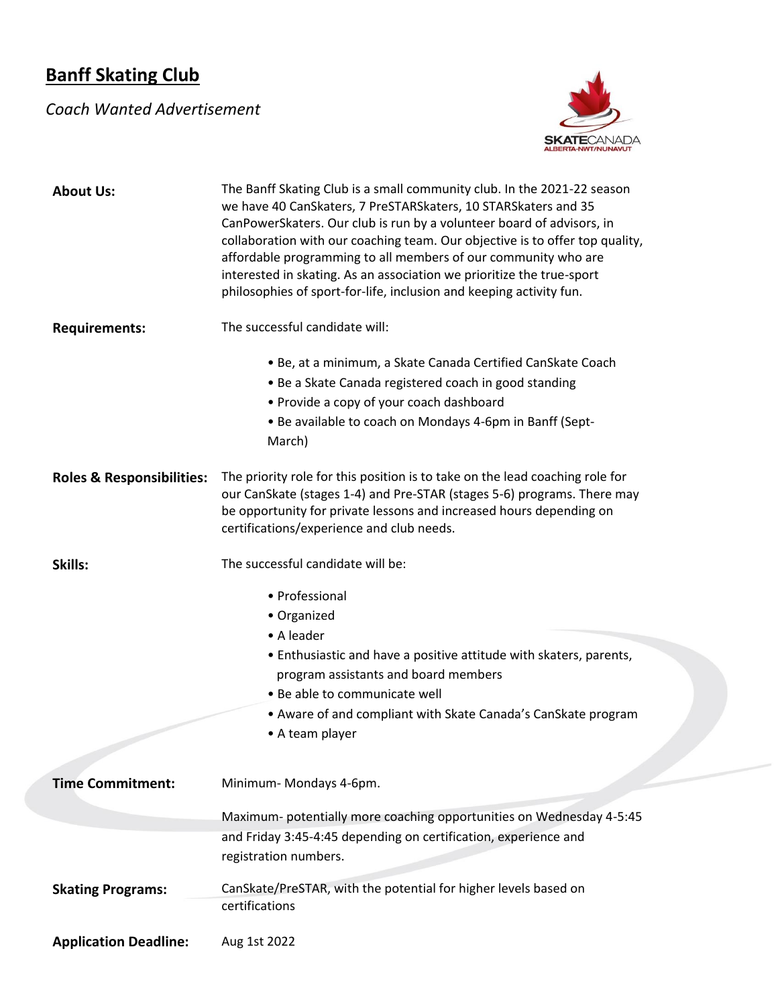## **Banff Skating Club**

## *Coach Wanted Advertisement*



| <b>About Us:</b>                     | The Banff Skating Club is a small community club. In the 2021-22 season<br>we have 40 CanSkaters, 7 PreSTARSkaters, 10 STARSkaters and 35<br>CanPowerSkaters. Our club is run by a volunteer board of advisors, in<br>collaboration with our coaching team. Our objective is to offer top quality,<br>affordable programming to all members of our community who are<br>interested in skating. As an association we prioritize the true-sport<br>philosophies of sport-for-life, inclusion and keeping activity fun. |
|--------------------------------------|----------------------------------------------------------------------------------------------------------------------------------------------------------------------------------------------------------------------------------------------------------------------------------------------------------------------------------------------------------------------------------------------------------------------------------------------------------------------------------------------------------------------|
| <b>Requirements:</b>                 | The successful candidate will:                                                                                                                                                                                                                                                                                                                                                                                                                                                                                       |
|                                      | • Be, at a minimum, a Skate Canada Certified CanSkate Coach<br>• Be a Skate Canada registered coach in good standing<br>• Provide a copy of your coach dashboard<br>• Be available to coach on Mondays 4-6pm in Banff (Sept-<br>March)                                                                                                                                                                                                                                                                               |
| <b>Roles &amp; Responsibilities:</b> | The priority role for this position is to take on the lead coaching role for<br>our CanSkate (stages 1-4) and Pre-STAR (stages 5-6) programs. There may<br>be opportunity for private lessons and increased hours depending on<br>certifications/experience and club needs.                                                                                                                                                                                                                                          |
| Skills:                              | The successful candidate will be:                                                                                                                                                                                                                                                                                                                                                                                                                                                                                    |
|                                      | • Professional<br>• Organized<br>• A leader<br>• Enthusiastic and have a positive attitude with skaters, parents,<br>program assistants and board members<br>• Be able to communicate well<br>• Aware of and compliant with Skate Canada's CanSkate program<br>• A team player                                                                                                                                                                                                                                       |
| <b>Time Commitment:</b>              | Minimum-Mondays 4-6pm.                                                                                                                                                                                                                                                                                                                                                                                                                                                                                               |
|                                      |                                                                                                                                                                                                                                                                                                                                                                                                                                                                                                                      |
|                                      | Maximum-potentially more coaching opportunities on Wednesday 4-5:45<br>and Friday 3:45-4:45 depending on certification, experience and<br>registration numbers.                                                                                                                                                                                                                                                                                                                                                      |
| <b>Skating Programs:</b>             | CanSkate/PreSTAR, with the potential for higher levels based on<br>certifications                                                                                                                                                                                                                                                                                                                                                                                                                                    |
| <b>Application Deadline:</b>         | Aug 1st 2022                                                                                                                                                                                                                                                                                                                                                                                                                                                                                                         |